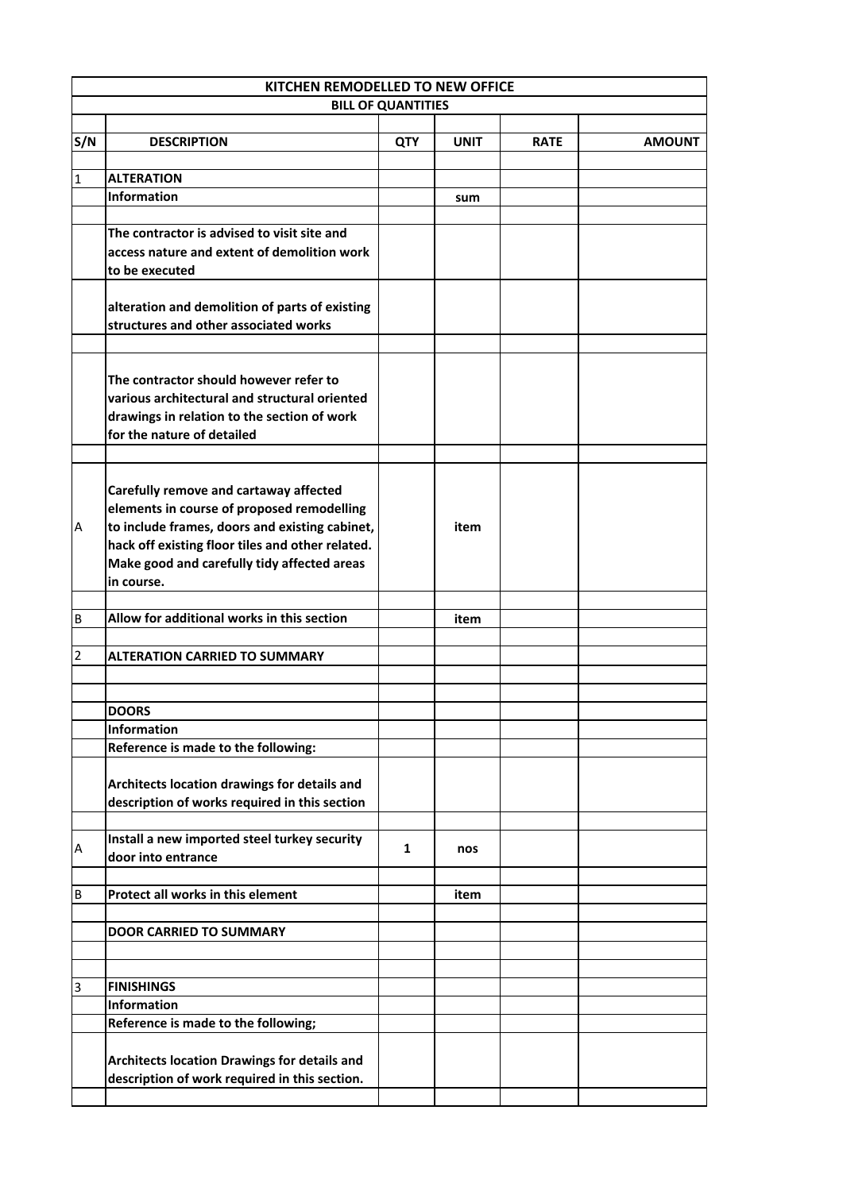| KITCHEN REMODELLED TO NEW OFFICE |                                                                                                 |                           |             |             |               |
|----------------------------------|-------------------------------------------------------------------------------------------------|---------------------------|-------------|-------------|---------------|
|                                  |                                                                                                 | <b>BILL OF QUANTITIES</b> |             |             |               |
| S/N                              | <b>DESCRIPTION</b>                                                                              | QTY                       | <b>UNIT</b> | <b>RATE</b> | <b>AMOUNT</b> |
|                                  |                                                                                                 |                           |             |             |               |
| $\mathbf{1}$                     | <b>ALTERATION</b>                                                                               |                           |             |             |               |
|                                  | <b>Information</b>                                                                              |                           | sum         |             |               |
|                                  | The contractor is advised to visit site and                                                     |                           |             |             |               |
|                                  | access nature and extent of demolition work                                                     |                           |             |             |               |
|                                  | to be executed                                                                                  |                           |             |             |               |
|                                  |                                                                                                 |                           |             |             |               |
|                                  | alteration and demolition of parts of existing<br>structures and other associated works         |                           |             |             |               |
|                                  |                                                                                                 |                           |             |             |               |
|                                  |                                                                                                 |                           |             |             |               |
|                                  | The contractor should however refer to                                                          |                           |             |             |               |
|                                  | various architectural and structural oriented                                                   |                           |             |             |               |
|                                  | drawings in relation to the section of work                                                     |                           |             |             |               |
|                                  | for the nature of detailed                                                                      |                           |             |             |               |
|                                  |                                                                                                 |                           |             |             |               |
|                                  | Carefully remove and cartaway affected                                                          |                           |             |             |               |
|                                  | elements in course of proposed remodelling                                                      |                           |             |             |               |
| A                                | to include frames, doors and existing cabinet,                                                  |                           | item        |             |               |
|                                  | hack off existing floor tiles and other related.<br>Make good and carefully tidy affected areas |                           |             |             |               |
|                                  | in course.                                                                                      |                           |             |             |               |
|                                  |                                                                                                 |                           |             |             |               |
| B                                | Allow for additional works in this section                                                      |                           | item        |             |               |
|                                  |                                                                                                 |                           |             |             |               |
| $\overline{2}$                   | <b>ALTERATION CARRIED TO SUMMARY</b>                                                            |                           |             |             |               |
|                                  |                                                                                                 |                           |             |             |               |
|                                  | <b>DOORS</b>                                                                                    |                           |             |             |               |
|                                  | <b>Information</b>                                                                              |                           |             |             |               |
|                                  | Reference is made to the following:                                                             |                           |             |             |               |
|                                  |                                                                                                 |                           |             |             |               |
|                                  | Architects location drawings for details and                                                    |                           |             |             |               |
|                                  | description of works required in this section                                                   |                           |             |             |               |
|                                  |                                                                                                 |                           |             |             |               |
| Α                                | Install a new imported steel turkey security<br>door into entrance                              | 1                         | nos         |             |               |
|                                  |                                                                                                 |                           |             |             |               |
| B                                | Protect all works in this element                                                               |                           | item        |             |               |
|                                  |                                                                                                 |                           |             |             |               |
|                                  | <b>DOOR CARRIED TO SUMMARY</b>                                                                  |                           |             |             |               |
|                                  |                                                                                                 |                           |             |             |               |
|                                  |                                                                                                 |                           |             |             |               |
| 3                                | <b>FINISHINGS</b><br><b>Information</b>                                                         |                           |             |             |               |
|                                  | Reference is made to the following;                                                             |                           |             |             |               |
|                                  |                                                                                                 |                           |             |             |               |
|                                  | Architects location Drawings for details and                                                    |                           |             |             |               |
|                                  | description of work required in this section.                                                   |                           |             |             |               |
|                                  |                                                                                                 |                           |             |             |               |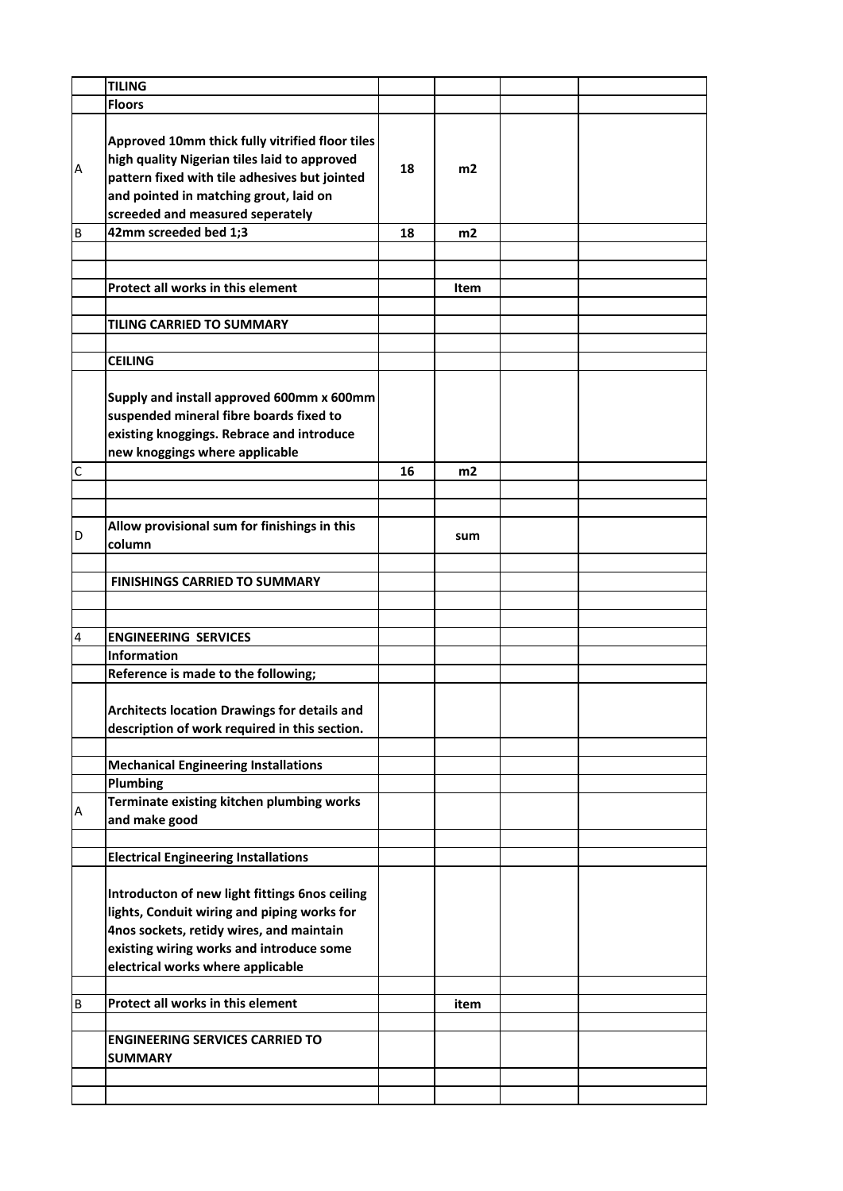|   | <b>TILING</b>                                                                                                                                                                                                                  |    |      |  |
|---|--------------------------------------------------------------------------------------------------------------------------------------------------------------------------------------------------------------------------------|----|------|--|
|   | <b>Floors</b>                                                                                                                                                                                                                  |    |      |  |
| Α | Approved 10mm thick fully vitrified floor tiles<br>high quality Nigerian tiles laid to approved<br>pattern fixed with tile adhesives but jointed<br>and pointed in matching grout, laid on<br>screeded and measured seperately | 18 | m2   |  |
| В | 42mm screeded bed 1;3                                                                                                                                                                                                          | 18 | m2   |  |
|   |                                                                                                                                                                                                                                |    |      |  |
|   |                                                                                                                                                                                                                                |    |      |  |
|   | Protect all works in this element                                                                                                                                                                                              |    | Item |  |
|   |                                                                                                                                                                                                                                |    |      |  |
|   | <b>TILING CARRIED TO SUMMARY</b>                                                                                                                                                                                               |    |      |  |
|   |                                                                                                                                                                                                                                |    |      |  |
|   | <b>CEILING</b>                                                                                                                                                                                                                 |    |      |  |
|   | Supply and install approved 600mm x 600mm<br>suspended mineral fibre boards fixed to<br>existing knoggings. Rebrace and introduce<br>new knoggings where applicable                                                            |    |      |  |
| C |                                                                                                                                                                                                                                | 16 | m2   |  |
|   |                                                                                                                                                                                                                                |    |      |  |
|   |                                                                                                                                                                                                                                |    |      |  |
| D | Allow provisional sum for finishings in this<br>column                                                                                                                                                                         |    | sum  |  |
|   |                                                                                                                                                                                                                                |    |      |  |
|   | <b>FINISHINGS CARRIED TO SUMMARY</b>                                                                                                                                                                                           |    |      |  |
|   |                                                                                                                                                                                                                                |    |      |  |
|   |                                                                                                                                                                                                                                |    |      |  |
| 4 | <b>ENGINEERING SERVICES</b>                                                                                                                                                                                                    |    |      |  |
|   | Information                                                                                                                                                                                                                    |    |      |  |
|   | Reference is made to the following;                                                                                                                                                                                            |    |      |  |
|   | <b>Architects location Drawings for details and</b><br>description of work required in this section.                                                                                                                           |    |      |  |
|   |                                                                                                                                                                                                                                |    |      |  |
|   | <b>Mechanical Engineering Installations</b>                                                                                                                                                                                    |    |      |  |
|   | Plumbing                                                                                                                                                                                                                       |    |      |  |
| А | Terminate existing kitchen plumbing works<br>and make good                                                                                                                                                                     |    |      |  |
|   |                                                                                                                                                                                                                                |    |      |  |
|   | <b>Electrical Engineering Installations</b>                                                                                                                                                                                    |    |      |  |
|   | Introducton of new light fittings 6nos ceiling<br>lights, Conduit wiring and piping works for<br>4nos sockets, retidy wires, and maintain<br>existing wiring works and introduce some<br>electrical works where applicable     |    |      |  |
|   | Protect all works in this element                                                                                                                                                                                              |    |      |  |
| В |                                                                                                                                                                                                                                |    | item |  |
|   | <b>ENGINEERING SERVICES CARRIED TO</b><br><b>SUMMARY</b>                                                                                                                                                                       |    |      |  |
|   |                                                                                                                                                                                                                                |    |      |  |
|   |                                                                                                                                                                                                                                |    |      |  |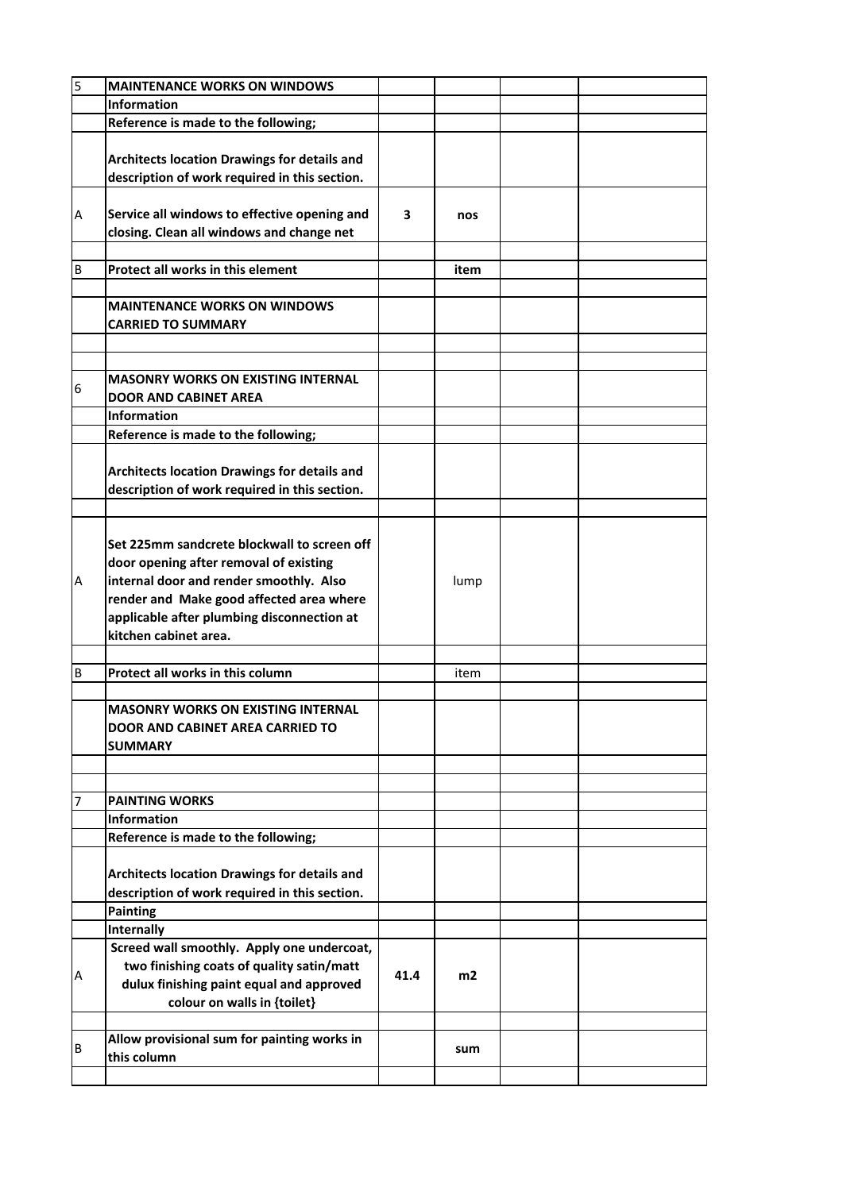| 5 | <b>MAINTENANCE WORKS ON WINDOWS</b>           |      |      |  |
|---|-----------------------------------------------|------|------|--|
|   | Information                                   |      |      |  |
|   | Reference is made to the following;           |      |      |  |
|   |                                               |      |      |  |
|   | Architects location Drawings for details and  |      |      |  |
|   | description of work required in this section. |      |      |  |
|   |                                               |      |      |  |
|   |                                               |      |      |  |
| А | Service all windows to effective opening and  | 3    | nos  |  |
|   | closing. Clean all windows and change net     |      |      |  |
|   |                                               |      |      |  |
| В | Protect all works in this element             |      | item |  |
|   |                                               |      |      |  |
|   | <b>MAINTENANCE WORKS ON WINDOWS</b>           |      |      |  |
|   | <b>CARRIED TO SUMMARY</b>                     |      |      |  |
|   |                                               |      |      |  |
|   |                                               |      |      |  |
|   | <b>MASONRY WORKS ON EXISTING INTERNAL</b>     |      |      |  |
| 6 | <b>DOOR AND CABINET AREA</b>                  |      |      |  |
|   | <b>Information</b>                            |      |      |  |
|   | Reference is made to the following;           |      |      |  |
|   |                                               |      |      |  |
|   | Architects location Drawings for details and  |      |      |  |
|   | description of work required in this section. |      |      |  |
|   |                                               |      |      |  |
|   |                                               |      |      |  |
|   | Set 225mm sandcrete blockwall to screen off   |      |      |  |
|   |                                               |      |      |  |
|   | door opening after removal of existing        |      |      |  |
| А | internal door and render smoothly. Also       |      | lump |  |
|   | render and Make good affected area where      |      |      |  |
|   | applicable after plumbing disconnection at    |      |      |  |
|   | kitchen cabinet area.                         |      |      |  |
|   |                                               |      |      |  |
| B | Protect all works in this column              |      | item |  |
|   |                                               |      |      |  |
|   | <b>MASONRY WORKS ON EXISTING INTERNAL</b>     |      |      |  |
|   | DOOR AND CABINET AREA CARRIED TO              |      |      |  |
|   | <b>SUMMARY</b>                                |      |      |  |
|   |                                               |      |      |  |
|   |                                               |      |      |  |
| 7 | <b>PAINTING WORKS</b>                         |      |      |  |
|   | Information                                   |      |      |  |
|   | Reference is made to the following;           |      |      |  |
|   |                                               |      |      |  |
|   | Architects location Drawings for details and  |      |      |  |
|   | description of work required in this section. |      |      |  |
|   | <b>Painting</b>                               |      |      |  |
|   | <b>Internally</b>                             |      |      |  |
|   | Screed wall smoothly. Apply one undercoat,    |      |      |  |
|   | two finishing coats of quality satin/matt     |      |      |  |
| Α |                                               | 41.4 | m2   |  |
|   | dulux finishing paint equal and approved      |      |      |  |
|   | colour on walls in {toilet}                   |      |      |  |
|   |                                               |      |      |  |
| В | Allow provisional sum for painting works in   |      | sum  |  |
|   | this column                                   |      |      |  |
|   |                                               |      |      |  |